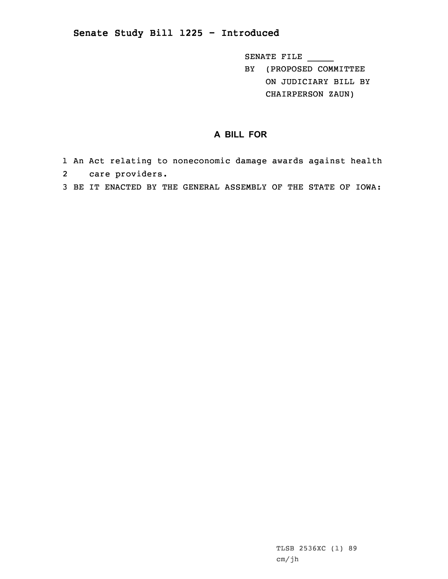## **Senate Study Bill 1225 - Introduced**

SENATE FILE \_\_\_\_\_

BY (PROPOSED COMMITTEE ON JUDICIARY BILL BY CHAIRPERSON ZAUN)

## **A BILL FOR**

- 1 An Act relating to noneconomic damage awards against health 2 care providers.
- 3 BE IT ENACTED BY THE GENERAL ASSEMBLY OF THE STATE OF IOWA: